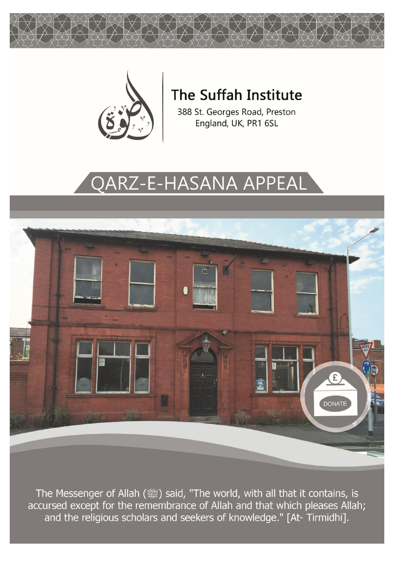



# The Suffah Institute

388 St. Georges Road, Preston England, UK, PR1 6SL

# **QARZ-E-HASANA APPEAL**



The Messenger of Allah (ﷺ) said, "The world, with all that it contains, is accursed except for the remembrance of Allah and that which pleases Allah; and the religious scholars and seekers of knowledge." [At-Tirmidhi].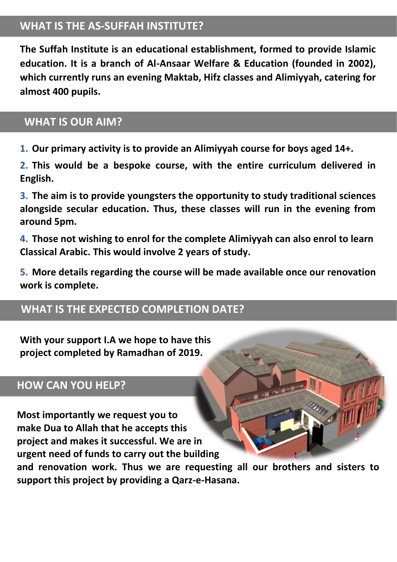#### **WHAT IS THE AS-SUFFAH INSTITUTE?**

**The Suffah Institute is an educational establishment, formed to provide Islamic education. It is a branch of Al-Ansaar Welfare & Education (founded in 2002), which currently runs an evening Maktab, Hifz classes and Alimiyyah, catering for almost 400 pupils.**

#### **WHAT IS OUR AIM?**

**1. Our primary activity is to provide an Alimiyyah course for boys aged 14+.** 

**2. This would be a bespoke course, with the entire curriculum delivered in English.** 

**3. The aim is to provide youngsters the opportunity to study traditional sciences alongside secular education. Thus, these classes will run in the evening from around 5pm.** 

**4. Those not wishing to enrol for the complete Alimiyyah can also enrol to learn Classical Arabic. This would involve 2 years of study.**

**5. More details regarding the course will be made available once our renovation work is complete.**

#### **WHAT IS THE EXPECTED COMPLETION DATE?**

**With your support I.A we hope to have this project completed by Ramadhan of 2019.**

#### **HOW CAN YOU HELP?**

**Most importantly we request you to make Dua to Allah that he accepts this project and makes it successful. We are in urgent need of funds to carry out the building** 

**and renovation work. Thus we are requesting all our brothers and sisters to support this project by providing a Qarz-e-Hasana.**

**THE REAL**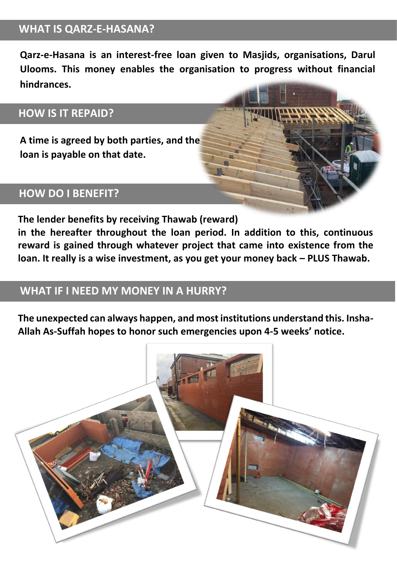#### **WHAT IS QARZ-E-HASANA?**

**Qarz-e-Hasana is an interest-free loan given to Masjids, organisations, Darul Ulooms. This money enables the organisation to progress without financial hindrances. hindrances.**

## **HOW IS IT REPAID?**

**A time is agreed by both parties, and the loan is payable on that date..**

#### **HOW DO I BENEFIT?**

**The lender benefits by receiving Thawab (reward)** 

**in the hereafter throughout the loan period. In addition to this, continuous reward is gained through whatever project that came into existence from the loan. It really is a wise investment, as you get your money back – PLUS Thawab.**

## **WHAT IF I NEED MY MONEY IN A HURRY?**

**The unexpected can always happen, and most institutions understand this. Insha-Allah As-Suffah hopes to honor such emergencies upon 4-5 weeks' notice.**